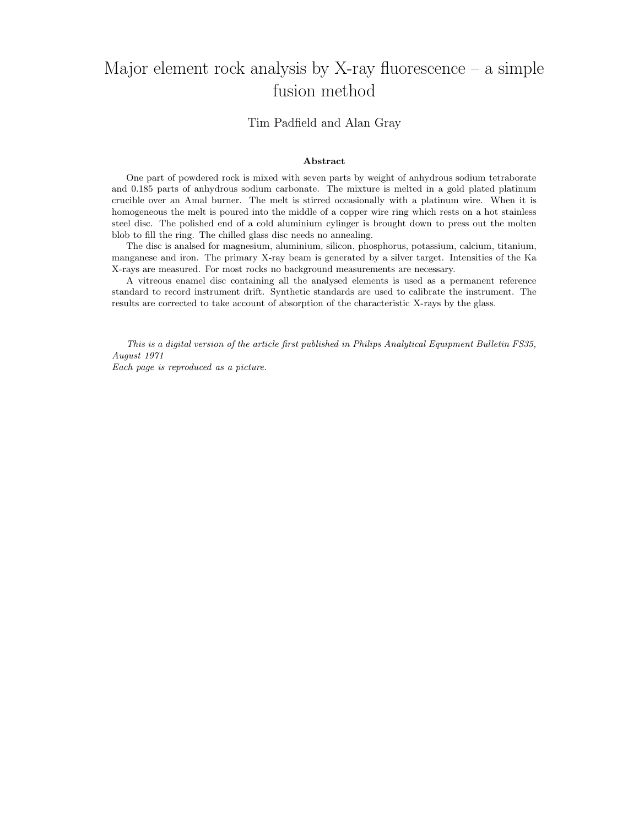# Major element rock analysis by X-ray fluorescence  $-$  a simple fusion method

# Tim Padfield and Alan Gray

# Abstract

One part of powdered rock is mixed with seven parts by weight of anhydrous sodium tetraborate and 0.185 parts of anhydrous sodium carbonate. The mixture is melted in a gold plated platinum crucible over an Amal burner. The melt is stirred occasionally with a platinum wire. When it is homogeneous the melt is poured into the middle of a copper wire ring which rests on a hot stainless steel disc. The polished end of a cold aluminium cylinger is brought down to press out the molten blob to fill the ring. The chilled glass disc needs no annealing.

The disc is analsed for magnesium, aluminium, silicon, phosphorus, potassium, calcium, titanium, manganese and iron. The primary X-ray beam is generated by a silver target. Intensities of the Ka X-rays are measured. For most rocks no background measurements are necessary.

A vitreous enamel disc containing all the analysed elements is used as a permanent reference standard to record instrument drift. Synthetic standards are used to calibrate the instrument. The results are corrected to take account of absorption of the characteristic X-rays by the glass.

This is a digital version of the article first published in Philips Analytical Equipment Bulletin FS35, August 1971 Each page is reproduced as a picture.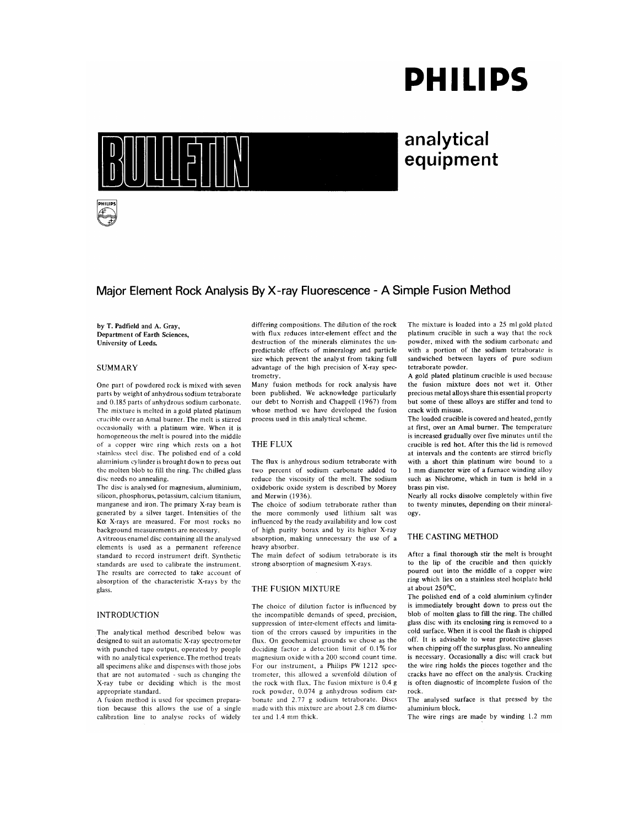# **PHILIPS**



# analytical equipment

# Major Element Rock Analysis By X-ray Fluorescence - A Simple Fusion Method

by T. Padfield and A. Gray. Department of Earth Sciences. University of Leeds.

## **SUMMARY**

One part of powdered rock is mixed with seven parts by weight of anhydrous sodium tetraborate and 0.185 parts of anhydrous sodium carbonate. The mixture is melted in a gold plated platinum crucible over an Amal burner. The melt is stirred occasionally with a platinum wire. When it is homogeneous the melt is poured into the middle of a copper wire ring which rests on a hot stainless steel disc. The polished end of a cold aluminium cylinder is brought down to press out the molten blob to fill the ring. The chilled glass disc needs no annealing.

The disc is analysed for magnesium, aluminium, silicon, phosphorus, potassium, calcium titanium, manganese and iron. The primary X-ray beam is generated by a silver target. Intensities of the Ka X-rays are measured. For most rocks no background measurements are necessary.

A vitreous enamel disc containing all the analysed elements is used as a permanent reference standard to record instrument drift. Synthetic standards are used to calibrate the instrument. The results are corrected to take account of absorption of the characteristic X-rays by the glass.

## **INTRODUCTION**

The analytical method described below was designed to suit an automatic X-ray spectrometer with punched tape output, operated by people with no analytical experience. The method treats all specimens alike and dispenses with those jobs that are not automated - such as changing the X-ray tube or deciding which is the most appropriate standard.

A fusion method is used for specimen preparation because this allows the use of a single calibration line to analyse rocks of widely differing compositions. The dilution of the rock with flux reduces inter-element effect and the destruction of the minerals eliminates the unpredictable effects of mineralogy and particle size which prevent the analyst from taking full advantage of the high precision of X-ray spectrometry.

Many fusion methods for rock analysis have been published. We acknowledge particularly our debt to Norrish and Chappell (1967) from whose method we have developed the fusion process used in this analytical scheme.

# THE FLUX

The flux is anhydrous sodium tetraborate with two percent of sodium carbonate added to reduce the viscosity of the melt. The sodium oxideboric oxide system is described by Morey and Merwin (1936).

The choice of sodium tetraborate rather than the more commonly used lithium salt was influenced by the ready availability and low cost of high purity borax and by its higher X-ray absorption, making unnecessary the use of a heavy absorber.

The main defect of sodium tetraborate is its strong absorption of magnesium X-rays.

#### THE FUSION MIXTURE

The choice of dilution factor is influenced by the incompatible demands of speed, precision, suppression of inter-element effects and limitation of the errors caused by impurities in the flux. On geochemical grounds we chose as the deciding factor a detection limit of 0.1% for magnesium oxide with a 200 second count time. For our instrument, a Philips PW 1212 spectrometer, this allowed a sevenfold dilution of the rock with flux. The fusion mixture is 0.4 g rock powder, 0.074 g anhydrous sodium carbonate and 2.77 g sodium tetraborate. Discs made with this mixture are about 2.8 cm diameter and 1.4 mm thick.

The mixture is loaded into a 25 ml gold plated platinum crucible in such a way that the rock powder, mixed with the sodium carbonate and with a portion of the sodium tetraborate is sandwiched between layers of pure sodium tetraborate powder.

A gold plated platinum crucible is used because the fusion mixture does not wet it. Other precious metal alloys share this essential property but some of these alloys are stiffer and tend to crack with misuse.

The loaded crucible is covered and heated, gently at first, over an Amal burner. The temperature is increased gradually over five minutes until the crucible is red hot. After this the lid is removed at intervals and the contents are stirred briefly with a short thin platinum wire bound to a 1 mm diameter wire of a furnace winding alloy such as Nichrome, which in turn is held in a brass pin vise.

Nearly all rocks dissolve completely within five to twenty minutes, depending on their mineralogy.

#### THE CASTING METHOD

After a final thorough stir the melt is brought to the lip of the crucible and then quickly poured out into the middle of a copper wire ring which lies on a stainless steel hotplate held at about 250°C.

The polished end of a cold aluminium cylinder is immediately brought down to press out the blob of molten glass to fill the ring. The chilled glass disc with its enclosing ring is removed to a cold surface. When it is cool the flash is chipped off. It is advisable to wear protective glasses when chipping off the surplus glass. No annealing is necessary. Occasionally a disc will crack but the wire ring holds the pieces together and the cracks have no effect on the analysis. Cracking is often diagnostic of incomplete fusion of the rock.

The analysed surface is that pressed by the aluminium block.

The wire rings are made by winding 1.2 mm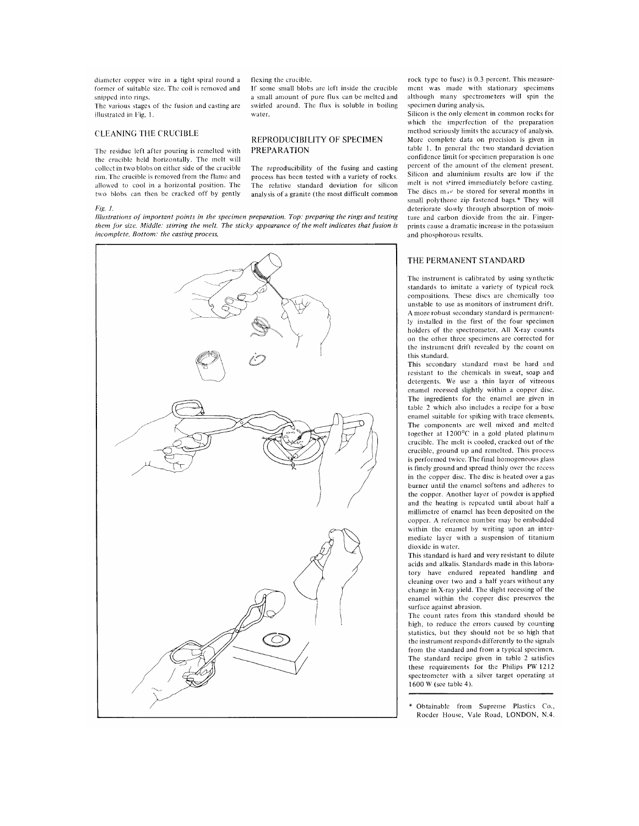diameter copper wire in a tight spiral round a former of suitable size. The coil is removed and snipped into rings.

The various stages of the fusion and casting are illustrated in Fig. 1.

## **CLEANING THE CRUCIBLE**

The residue left after pouring is remelted with the crucible held horizontally. The melt will collect in two blobs on either side of the crucible rim. The crucible is removed from the flame and allowed to cool in a horizontal position. The two blobs can then be cracked off by gently

#### $Fig 1$

Illustrations of important points in the specimen preparation. Top: preparing the rings and testing them for size. Middle: stirring the melt. The sticky appearance of the melt indicates that fusion is incomplete. Bottom: the casting process.



flexing the crucible.

If some small blobs are left inside the crucible a small amount of pure flux can be melted and swirled around. The flux is soluble in boiling water.

# REPRODUCIBILITY OF SPECIMEN **PREPARATION**

The reproducibility of the fusing and casting process has been tested with a variety of rocks. The relative standard deviation for silicon analysis of a granite (the most difficult common rock type to fuse) is 0.3 percent. This measurement was made with stationary specimens although many spectrometers will spin the specimen during analysis.

Silicon is the only element in common rocks for which the imperfection of the preparation method seriously limits the accuracy of analysis More complete data on precision is given in table 1. In general the two standard deviation confidence limit for specimen preparation is one percent of the amount of the element present. Silicon and aluminium results are low if the melt is not stirred immediately before casting. The discs may be stored for several months in small polythene zip fastened bags.\* They will deteriorate slowly through absorption of moisture and carbon dioxide from the air. Fingerprints cause a dramatic increase in the potassium and phosphorous results.

# THE PERMANENT STANDARD

The instrument is calibrated by using synthetic standards to imitate a variety of typical rock compositions. These discs are chemically too unstable to use as monitors of instrument drift. A more robust secondary standard is permanently installed in the first of the four specimen holders of the spectrometer. All X-ray counts on the other three specimens are corrected for the instrument drift revealed by the count on this standard.

This secondary standard must be hard and resistant to the chemicals in sweat, soap and detergents. We use a thin layer of vitreous enamel recessed slightly within a copper disc. The ingredients for the enamel are given in table 2 which also includes a recipe for a base enamel suitable for spiking with trace elements. The components are well mixed and melted together at  $1200^{\circ}$ C in a gold plated platinum crucible. The melt is cooled, cracked out of the crucible, ground up and remelted. This process is performed twice. The final homogeneous glass is finely ground and spread thinly over the recess in the copper disc. The disc is heated over a gas burner until the enamel softens and adheres to the copper. Another layer of powder is applied and the heating is repeated until about half a millimetre of enamel has been deposited on the copper. A reference number may be embedded within the enamel by writing upon an intermediate layer with a suspension of titanium dioxide in water.

This standard is hard and very resistant to dilute acids and alkalis. Standards made in this laboratory have endured repeated handling and cleaning over two and a half years without any change in X-ray yield. The slight recessing of the enamel within the copper disc preserves the surface against abrasion.

The count rates from this standard should be high, to reduce the errors caused by counting statistics, but they should not be so high that the instrument responds differently to the signals from the standard and from a typical specimen. The standard recipe given in table 2 satisfies these requirements for the Philips PW 1212 spectrometer with a silver target operating at 1600 W (see table 4).

Obtainable from Supreme Plastics Co., Rocder House, Vale Road, LONDON, N.4.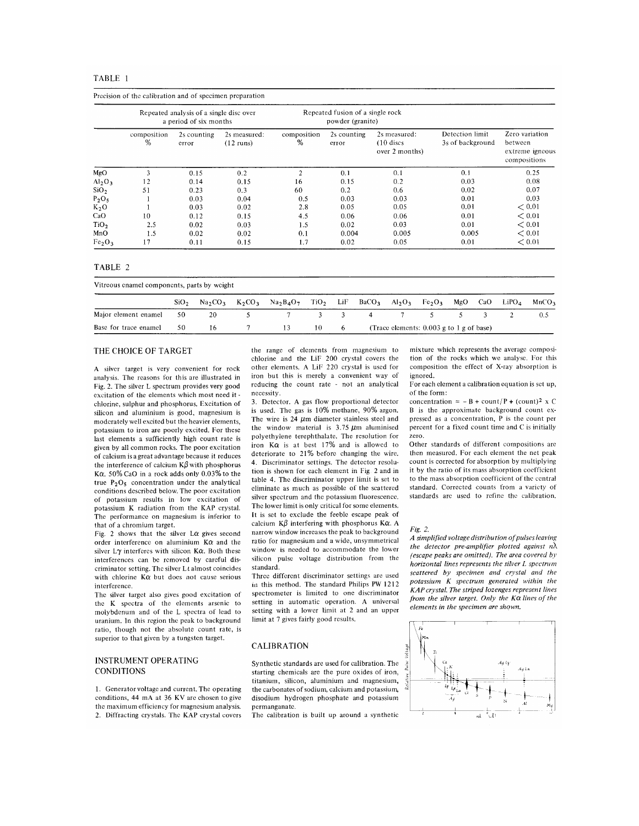|                                |                  | Repeated analysis of a single disc over<br>a period of six months |                                     |                  | Repeated fusion of a single rock<br>powder (granite) |                                               |                                     |                                                              |
|--------------------------------|------------------|-------------------------------------------------------------------|-------------------------------------|------------------|------------------------------------------------------|-----------------------------------------------|-------------------------------------|--------------------------------------------------------------|
|                                | composition<br>% | 2s counting<br>error                                              | 2s measured:<br>$(12 \text{ runs})$ | composition<br>% | 2s counting<br>error                                 | 2s measured:<br>$(10$ discs<br>over 2 months) | Detection limit<br>3s of background | Zero variation<br>between<br>extreme igneous<br>compositions |
| MgO                            | 3                | 0.15                                                              | 0.2                                 | 2                | 0.1                                                  | 0.1                                           | 0.1                                 | 0.25                                                         |
| Al <sub>2</sub> O <sub>3</sub> | 12               | 0.14                                                              | 0.15                                | 16               | 0.15                                                 | 0.2                                           | 0.03                                | 0.08                                                         |
| SiO <sub>2</sub>               | 51               | 0.23                                                              | 0.3                                 | 60               | 0.2                                                  | 0.6                                           | 0.02                                | 0.07                                                         |
| $P_2O_5$                       |                  | 0.03                                                              | 0.04                                | 0.5              | 0.03                                                 | 0.03                                          | 0.01                                | 0.03                                                         |
| $K_2O$                         |                  | 0.03                                                              | 0.02                                | 2.8              | 0.05                                                 | 0.05                                          | 0.01                                | < 0.01                                                       |
| CaO                            | 10               | 0.12                                                              | 0.15                                | 4.5              | 0.06                                                 | 0.06                                          | 0.01                                | < 0.01                                                       |
| TiO <sub>2</sub>               | 2.5              | 0.02                                                              | 0.03                                | 1.5              | 0.02                                                 | 0.03                                          | 0.01                                | < 0.01                                                       |
| MnO                            | 1.5              | 0.02                                                              | 0.02                                | 0.1              | 0.004                                                | 0.005                                         | 0.005                               | < 0.01                                                       |
| Fe <sub>2</sub> O <sub>3</sub> | 17               | 0.11                                                              | 0.15                                | 1.7              | 0.02                                                 | 0.05                                          | 0.01                                | < 0.01                                                       |

#### TABLE 2

π.

| Vitreous enamel components, parts by weight |                  |     |  |                                              |    |                             |                                            |  |  |         |                   |                   |
|---------------------------------------------|------------------|-----|--|----------------------------------------------|----|-----------------------------|--------------------------------------------|--|--|---------|-------------------|-------------------|
|                                             | SiO <sub>2</sub> |     |  | $Na_2CO_3$ $K_2CO_3$ $Na_2BaO_7$ $TiO_2$ LiF |    |                             | $BaCO_3$ $Al_2O_3$ $Fe_2O_3$               |  |  | MgO CaO | LiPO <sub>4</sub> | MnCO <sub>3</sub> |
| Major element enamel                        | 50               | -20 |  |                                              |    | $\sim$ $\sim$ $\sim$ $\sim$ | 4                                          |  |  |         |                   |                   |
| Base for trace enamel                       | 50.              | 16. |  | 13                                           | 10 | $6 -$                       | (Trace elements: $0.003$ g to 1 g of base) |  |  |         |                   |                   |

# THE CHOICE OF TARGET

A silver target is very convenient for rock analysis. The reasons for this are illustrated in Fig. 2. The silver L spectrum provides very good excitation of the elements which most need it chlorine, sulphur and phosphorus. Excitation of silicon and aluminium is good, magnesium is moderately well excited but the heavier elements, potassium to iron are poorly excited. For these last elements a sufficiently high count rate is given by all common rocks. The poor excitation of calcium is a great advantage because it reduces the interference of calcium  $K\beta$  with phosphorus Ka. 50% CaO in a rock adds only 0.03% to the true  $P_2O_5$  concentration under the analytical conditions described below. The poor excitation of potassium results in low excitation of potassium K radiation from the KAP crystal. The performance on magnesium is inferior to that of a chromium target.

Fig. 2 shows that the silver  $L\alpha$  gives second order interference on aluminium  $K\alpha$  and the silver  $L\gamma$  interferes with silicon  $K\alpha$ . Both these interferences can be removed by careful discriminator setting. The silver  $Lt$  almost coincides with chlorine  $K\alpha$  but does not cause serious interference.

The silver target also gives good excitation of the K spectra of the elements arsenic to molybdenum and of the L spectra of lead to uranium. In this region the peak to background ratio, though not the absolute count rate, is superior to that given by a tungsten target.

# **INSTRUMENT OPERATING CONDITIONS**

1. Generator voltage and current. The operating conditions, 44 mA at 36 KV are chosen to give the maximum efficiency for magnesium analysis. 2. Diffracting crystals. The KAP crystal covers

the range of elements from magnesium to chlorine and the LiF 200 crystal covers the other elements. A LiF 220 crystal is used for iron but this is merely a convenient way of reducing the count rate - not an analytical necessity.

3. Detector. A gas flow proportional detector is used. The gas is 10% methane, 90% argon. The wire is  $24 \mu m$  diameter stainless steel and the window material is  $3.75 \mu m$  aluminised polyethylene terephthalate. The resolution for iron  $K\alpha$  is at best 17% and is allowed to deteriorate to 21% before changing the wire. 4. Discriminator settings. The detector resolution is shown for each element in Fig. 2 and in table 4. The discriminator upper limit is set to eliminate as much as possible of the scattered silver spectrum and the potassium fluorescence. The lower limit is only critical for some elements. It is set to exclude the feeble escape peak of calcium  $K\beta$  interfering with phosphorus  $K\alpha$ . A narrow window increases the peak to background ratio for magnesium and a wide, unsymmetrical window is needed to accommodate the lower silicon pulse voltage distribution from the standard.

Three different discriminator settings are used in this method. The standard Philips PW 1212 spectrometer is limited to one discriminator setting in automatic operation. A universal setting with a lower limit at 2 and an upper limit at 7 gives fairly good results.

#### **CALIBRATION**

Synthetic standards are used for calibration. The starting chemicals are the pure oxides of iron, titanium, silicon, aluminium and magnesium, the carbonates of sodium, calcium and potassium, disodium hydrogen phosphate and potassium permanganate.

The calibration is built up around a synthetic

mixture which represents the average composition of the rocks which we analyse. For this composition the effect of X-ray absorption is ignored.

For each element a calibration equation is set up. of the form:

concentration = - B + count/P + (count)<sup>2</sup> x C B is the approximate background count expressed as a concentration, P is the count per percent for a fixed count time and C is initially zero.

Other standards of different compositions are then measured. For each element the net peak count is corrected for absorption by multiplying it by the ratio of its mass absorption coefficient to the mass absorption coefficient of the central standard. Corrected counts from a variety of standards are used to refine the calibration.

#### Fig. 2.

A simplified voltage distribution of pulses leaving the detector pre-amplifier plotted against  $n\lambda$ (escape peaks are omitted). The area covered by horizontal lines represents the silver L spectrum scattered by specimen and crystal and the potassium K spectrum generated within the KAP crystal. The striped lozenges represent lines from the silver target. Only the  $K\alpha$  lines of the elements in the specimen are shown.

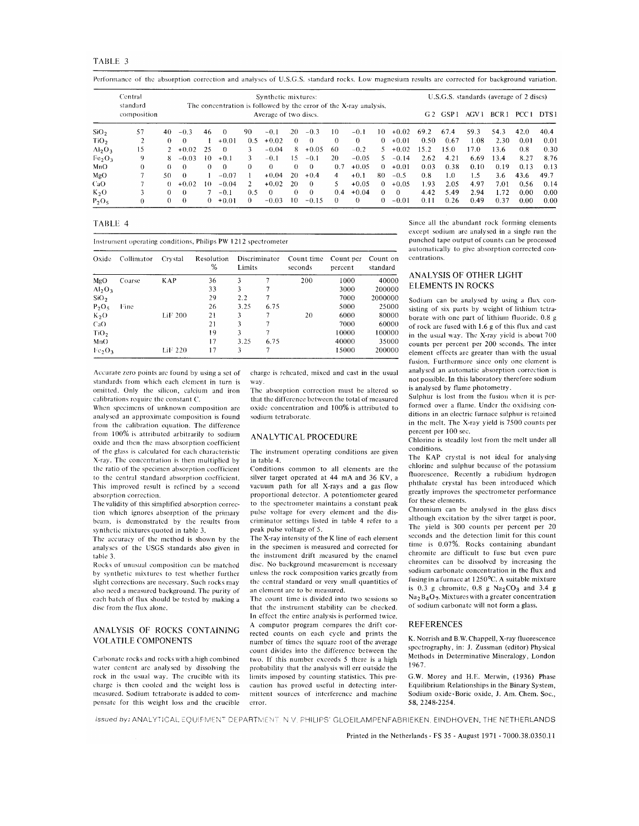| FABLE |  |
|-------|--|
|       |  |

|                                | Central<br>standard |          |            |                  | The concentration is followed by the error of the X-ray analysis. |                | Synthetic mixtures:   |            |          |          |          |          |              |                |       | U.S.G.S. standards (average of 2 discs) |                  |                  |       |
|--------------------------------|---------------------|----------|------------|------------------|-------------------------------------------------------------------|----------------|-----------------------|------------|----------|----------|----------|----------|--------------|----------------|-------|-----------------------------------------|------------------|------------------|-------|
|                                | composition         |          |            |                  |                                                                   |                | Average of two discs. |            |          |          |          |          |              | G <sub>2</sub> | GSP 1 | AGV 1                                   | BCR <sub>1</sub> | PCC <sub>1</sub> | DTS 1 |
| SiO <sub>2</sub>               | 57                  | 40       | $-0.3$     | 46               | $\Omega$                                                          | 90             | $-0.1$                | 20         | $-0.3$   | 10       | $-0.1$   | 10       | $+0.02$      | 69.2           | 67.4  | 59.3                                    | 54.3             | 42.0             | 40.4  |
| TiO <sub>2</sub>               |                     | 0        | $^{\circ}$ |                  | $+0.01$                                                           | 0.5            | $+0.02$               | $\Omega$   | $\Omega$ | $\Omega$ | $\theta$ | 0        | $+0.01$      | 0.50           | 0.67  | 1.08                                    | 2.30             | 0.01             | 0.01  |
| $Al_2O_3$                      | 15                  |          | $2 + 0.02$ | 25               | $\Omega$                                                          |                | $-0.04$               | 8          | $+0.05$  | 60       | $-0.2$   |          | $5 + 0.02$   | 15.2           | 15.0  | 17.0                                    | 13.6             | 0.8              | 0.30  |
| Fe <sub>2</sub> O <sub>3</sub> | 9                   | 8        | $-0.03$    | 10 <sup>10</sup> | $+0.1$                                                            | 3              | $-0.1$                | 15         | $-0.1$   | 20       | $-0.05$  | .5       | $-0.14$      | 2.62           | 4.21  | 6.69                                    | 13.4             | 8.27             | 8.76  |
| MnO                            | 0                   | $\Omega$ | $\Omega$   | $\Omega$         | $\Omega$                                                          | $\Omega$       | $^{\circ}$            | $\Omega$   | $\Omega$ | 0.7      | $+0.05$  | $\Omega$ | $+0.01$      | 0.03           | 0.38  | 0.10                                    | 0.19             | 0.13             | 0.13  |
| MgO                            | 7                   | 50       | $\Omega$   |                  | $-0.07$                                                           |                | $+0.04$               | 20         | $+0.4$   | 4        | $+0.1$   | 80       | $-0.5$       | 0.8            | 1.0   | 1.5                                     | 3.6              | 43.6             | 49.7  |
| CaO                            |                     | 0        | $+0.02$    | 10.              | $-0.04$                                                           | $\overline{2}$ | $+0.02$               | 20         | $\theta$ | 5.       | $+0.05$  | 0        | $+0.05$      | 1.93           | 2.05  | 4.97                                    | 7.01             | 0.56             | 0.14  |
| $K_2O$                         |                     | ∩        |            |                  | $-0.1$                                                            | 0.5            | $\Omega$              | $^{\circ}$ | $\Omega$ | 0.4      | $+0.04$  | 0        | $\mathbf{v}$ | 4.42           | 5.49  | 2.94                                    | 1.72             | 0.00             | 0.00  |
| $P_2O_5$                       |                     | 0        |            | 0.               | $+0.01$                                                           | 0              | $-0.03$               | 10         | $-0.15$  | 0.       | $\Omega$ | 0        | $-0.01$      | 0.11           | 0.26  | 0.49                                    | 0.37             | 0.00             | 0.00  |

Performance of the absorption correction and analyses of USGS standard rocks Low magnesium results are corrected for background variation

TABLE 4

| Instrument operating conditions, Philips PW 1212 spectrometer |  |
|---------------------------------------------------------------|--|
|---------------------------------------------------------------|--|

| Oxide                          | Collimator | Crystal    | Resolution<br>% | Discriminator<br>Limits |      | Count time<br>seconds | Count per<br>percent | Count on<br>standard |  |
|--------------------------------|------------|------------|-----------------|-------------------------|------|-----------------------|----------------------|----------------------|--|
| MgO                            | Coarse     | <b>KAP</b> | 36              | 3                       |      | 200                   | 1000                 | 40000                |  |
| $Al_2O_3$                      |            |            | 33              | 3                       |      |                       | 3000                 | 200000               |  |
| SiO <sub>2</sub>               |            |            | 29              | 2.2                     | 7    |                       | 7000                 | 2000000              |  |
| $P_2O_5$                       | Fine       |            | 26              | 3.25                    | 6.75 |                       | 5000                 | 25000                |  |
| $K_2O$                         |            | $LiF$ 200  | 21              | 3                       |      | 20                    | 6000                 | 80000                |  |
| CaO                            |            |            | 21              | 3                       |      |                       | 7000                 | 60000                |  |
| TiO <sub>2</sub>               |            |            | 19              | 3                       | 7    |                       | 10000                | 100000               |  |
| MnO                            |            |            | 17              | 3.25                    | 6.75 |                       | 40000                | 35000                |  |
| Fe <sub>2</sub> O <sub>3</sub> |            | LiF 220    | 17              | 3                       | 7    |                       | 15000                | 200000               |  |

Accurate zero points are found by using a set of standards from which each element in turn is omitted. Only the silicon, calcium and iron calibrations require the constant C.

When specimens of unknown composition are analysed an approximate composition is found from the calibration equation. The difference from 100% is attributed arbitrarily to sodium oxide and then the mass absorption coefficient of the glass is calculated for each characteristic X-ray. The concentration is then multiplied by the ratio of the specimen absorption coefficient to the central standard absorption coefficient. This improved result is refined by a second absorption correction.

The validity of this simplified absorption correction which ignores absorption of the primary beam, is demonstrated by the results from synthetic mixtures quoted in table 3.

The accuracy of the method is shown by the analyses of the USGS standards also given in table 3.

Rocks of unusual composition can be matched by synthetic mixtures to test whether further slight corrections are necessary. Such rocks may also need a measured background. The purity of each batch of flux should be tested by making a disc from the flux alone.

## ANALYSIS OF ROCKS CONTAINING **VOLATILE COMPONENTS**

Carbonate rocks and rocks with a high combined water content are analysed by dissolving the rock in the usual way. The crucible with its charge is then cooled and the weight loss is measured. Sodium tetraborate is added to compensate for this weight loss and the crucible

charge is reheated, mixed and cast in the usual way.

The absorption correction must be altered so that the difference between the total of measured oxide concentration and 100% is attributed to sodium tetraborate.

#### ANALYTICAL PROCEDURE

The instrument operating conditions are given in table 4.

Conditions common to all elements are the silver target operated at 44 mA and 36 KV, a vacuum path for all X-rays and a gas flow proportional detector. A potentiometer geared to the spectrometer maintains a constant peak pulse voltage for every element and the discriminator settings listed in table 4 refer to a peak pulse voltage of 5.

The X-ray intensity of the K line of each element in the specimen is measured and corrected for the instrument drift measured by the enamel disc. No background measurement is necessary unless the rock composition varies greatly from the central standard or very small quantities of an element are to be measured.

The count time is divided into two sessions so that the instrument stability can be checked. In effect the entire analysis is performed twice. A computor program compares the drift corrected counts on each cycle and prints the number of times the square root of the average count divides into the difference between the two. If this number exceeds 5 there is a high probability that the analysis will err outside the limits imposed by counting statistics. This precaution has proved useful in detecting intermittent sources of interference and machine error.

Since all the abundant rock forming elements except sodium are analysed in a single run the punched tape output of counts can be processed automatically to give absorption corrected concentrations

# ANALYSIS OF OTHER LIGHT **ELEMENTS IN ROCKS**

Sodium can be analysed by using a flux consisting of six parts by weight of lithium tetraborate with one part of lithium fluoride, 0.8 g of rock are fused with 1.6 g of this flux and cast in the usual way. The X-ray yield is about 700 counts per percent per 200 seconds. The inter element effects are greater than with the usual fusion. Furthermore since only one element is analysed an automatic absorption correction is not possible. In this laboratory therefore sodium is analysed by flame photometry.

Sulphur is lost from the fusion when it is performed over a flame. Under the oxidising conditions in an electric furnace sulphur is retained in the melt. The X-ray yield is 7500 counts per percent per 100 sec.

Chlorine is steadily lost from the melt under all conditions.

The KAP crystal is not ideal for analysing chlorine and sulphur because of the potassium fluorescence. Recently a rubidium hydrogen phthalate crystal has been introduced which greatly improves the spectrometer performance for these elements.

Chromium can be analysed in the glass discs although excitation by the silver target is poor, The vield is 300 counts per percent per 20 seconds and the detection limit for this count time is 0.07%. Rocks containing abundant chromite are difficult to fuse but even pure chromites can be dissolved by increasing the sodium carbonate concentration in the flux and fusing in a furnace at 1250°C. A suitable mixture is 0.3 g chromite, 0.8 g  $Na<sub>2</sub>CO<sub>3</sub>$  and 3.4 g  $Na<sub>2</sub>B<sub>4</sub>O<sub>7</sub>$ . Mixtures with a greater concentration of sodium carbonate will not form a glass.

#### **REFERENCES**

K. Norrish and B.W. Chappell, X-ray fluorescence spectrography, in: J. Zussman (editor) Physical Methods in Determinative Mineralogy, London 1967.

G.W. Morey and H.E. Merwin, (1936) Phase Equilibrium Relationships in the Binary System, Sodium oxide-Boric oxide, J. Am. Chem. Soc., 58, 2248-2254.

Issued by: ANALYTICAL EQUIPMENT DEPARTMENT, N.V. PHILIPS' GLOEILAMPENFABRIEKEN, EINDHOVEN, THE NETHERLANDS

Printed in the Netherlands - FS 35 - August 1971 - 7000.38.0350.11